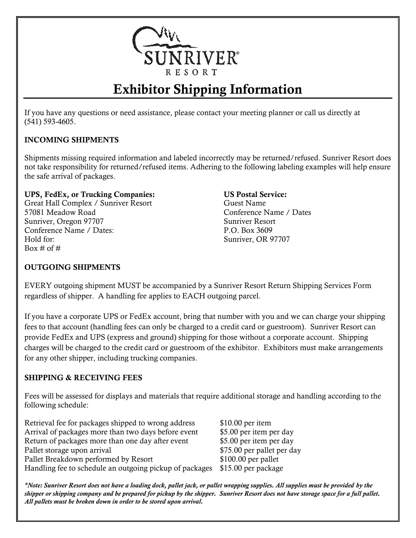

# Exhibitor Shipping Information

If you have any questions or need assistance, please contact your meeting planner or call us directly at (541) 593-4605.

## INCOMING SHIPMENTS

Shipments missing required information and labeled incorrectly may be returned/refused. Sunriver Resort does not take responsibility for returned/refused items. Adhering to the following labeling examples will help ensure the safe arrival of packages.

#### UPS, FedEx, or Trucking Companies: US Postal Service:

Great Hall Complex / Sunriver Resort 57081 Meadow Road Sunriver, Oregon 97707 Conference Name / Dates: Hold for: Box  $\#$  of  $\#$ 

Guest Name Conference Name / Dates Sunriver Resort P.O. Box 3609 Sunriver, OR 97707

#### OUTGOING SHIPMENTS

EVERY outgoing shipment MUST be accompanied by a Sunriver Resort Return Shipping Services Form regardless of shipper. A handling fee applies to EACH outgoing parcel.

If you have a corporate UPS or FedEx account, bring that number with you and we can charge your shipping fees to that account (handling fees can only be charged to a credit card or guestroom). Sunriver Resort can provide FedEx and UPS (express and ground) shipping for those without a corporate account. Shipping charges will be charged to the credit card or guestroom of the exhibitor. Exhibitors must make arrangements for any other shipper, including trucking companies.

### SHIPPING & RECEIVING FEES

Fees will be assessed for displays and materials that require additional storage and handling according to the following schedule:

Retrieval fee for packages shipped to wrong address \$10.00 per item Arrival of packages more than two days before event \$5.00 per item per day Return of packages more than one day after event \$5.00 per item per day Pallet storage upon arrival **EXEC 200 \$75.00** per pallet per day Pallet Breakdown performed by Resort \$100.00 per pallet Handling fee to schedule an outgoing pickup of packages \$15.00 per package

*\*Note: Sunriver Resort does not have a loading dock, pallet jack, or pallet wrapping supplies. All supplies must be provided by the shipper or shipping company and be prepared for pickup by the shipper. Sunriver Resort does not have storage space for a full pallet. All pallets must be broken down in order to be stored upon arrival.*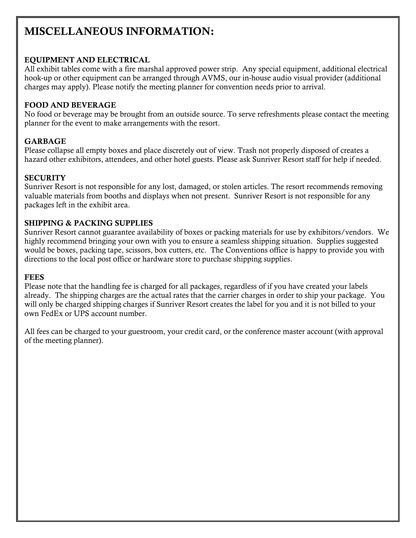# MISCELLANEOUS INFORMATION:

#### EQUIPMENT AND ELECTRICAL

All exhibit tables come with a fire marshal approved power strip. Any special equipment, additional electrical hook-up or other equipment can be arranged through AVMS, our in-house audio visual provider (additional charges may apply). Please notify the meeting planner for convention needs prior to arrival.

#### FOOD AND BEVERAGE

No food or beverage may be brought from an outside source. To serve refreshments please contact the meeting planner for the event to make arrangements with the resort.

#### GARBAGE

Please collapse all empty boxes and place discretely out of view. Trash not properly disposed of creates a hazard other exhibitors, attendees, and other hotel guests. Please ask Sunriver Resort staff for help if needed.

#### **SECURITY**

Sunriver Resort is not responsible for any lost, damaged, or stolen articles. The resort recommends removing valuable materials from booths and displays when not present. Sunriver Resort is not responsible for any packages left in the exhibit area.

#### SHIPPING & PACKING SUPPLIES

Sunriver Resort cannot guarantee availability of boxes or packing materials for use by exhibitors/vendors. We highly recommend bringing your own with you to ensure a seamless shipping situation. Supplies suggested would be boxes, packing tape, scissors, box cutters, etc. The Conventions office is happy to provide you with directions to the local post office or hardware store to purchase shipping supplies.

#### **FEES**

Please note that the handling fee is charged for all packages, regardless of if you have created your labels already. The shipping charges are the actual rates that the carrier charges in order to ship your package. You will only be charged shipping charges if Sunriver Resort creates the label for you and it is not billed to your own FedEx or UPS account number.

All fees can be charged to your guestroom, your credit card, or the conference master account (with approval of the meeting planner).